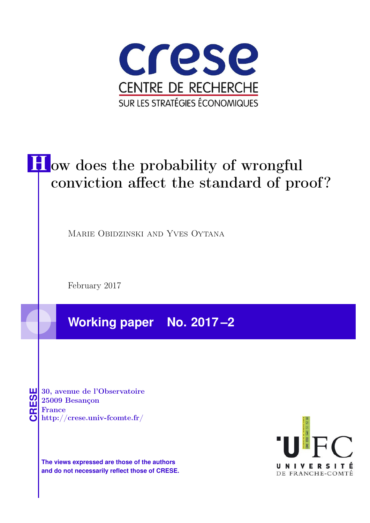

# **H** ow does the probability of wrongful conviction affect the standard of proof?

Marie Obidzinski and Yves Oytana

February 2017

**Working paper No. 2017 –2**

**CRESE 30, avenue de l'Observatoire<br>
25009 Besançon<br>
France<br>
<b>CRESE de l'Observatoire**<br>
Http://crese.univ-fcomte.fr/ 25009 Besançon France

**The views expressed are those of the authors and do not necessarily reflect those of CRESE.**

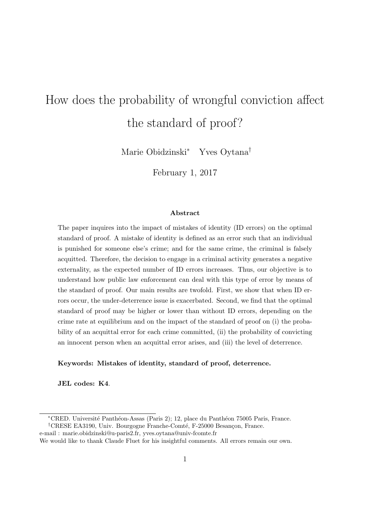# How does the probability of wrongful conviction affect the standard of proof?

Marie Obidzinski<sup>\*</sup> Yves Oytana<sup>†</sup>

February 1, 2017

#### Abstract

The paper inquires into the impact of mistakes of identity (ID errors) on the optimal standard of proof. A mistake of identity is defined as an error such that an individual is punished for someone else's crime; and for the same crime, the criminal is falsely acquitted. Therefore, the decision to engage in a criminal activity generates a negative externality, as the expected number of ID errors increases. Thus, our objective is to understand how public law enforcement can deal with this type of error by means of the standard of proof. Our main results are twofold. First, we show that when ID errors occur, the under-deterrence issue is exacerbated. Second, we find that the optimal standard of proof may be higher or lower than without ID errors, depending on the crime rate at equilibrium and on the impact of the standard of proof on (i) the probability of an acquittal error for each crime committed, (ii) the probability of convicting an innocent person when an acquittal error arises, and (iii) the level of deterrence.

#### Keywords: Mistakes of identity, standard of proof, deterrence.

JEL codes: K4.

<sup>⇤</sup>CRED. Universit´e Panth´eon-Assas (Paris 2); 12, place du Panth´eon 75005 Paris, France. <sup>†</sup>CRESE EA3190, Univ. Bourgogne Franche-Comté, F-25000 Besançon, France.

e-mail : marie.obidzinski@u-paris2.fr, yves.oytana@univ-fcomte.fr

We would like to thank Claude Fluet for his insightful comments. All errors remain our own.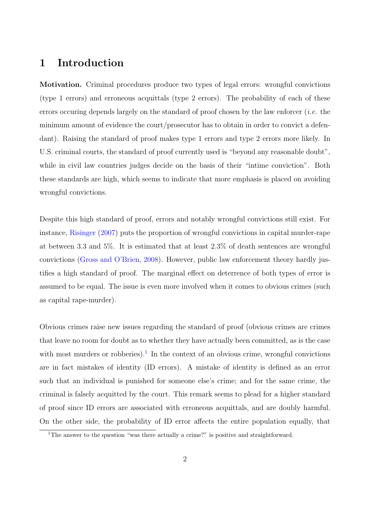# 1 Introduction

Motivation. Criminal procedures produce two types of legal errors: wrongful convictions (type 1 errors) and erroneous acquittals (type 2 errors). The probability of each of these errors occuring depends largely on the standard of proof chosen by the law enforcer *(i.e.* the minimum amount of evidence the court/prosecutor has to obtain in order to convict a defendant). Raising the standard of proof makes type 1 errors and type 2 errors more likely. In U.S. criminal courts, the standard of proof currently used is "beyond any reasonable doubt", while in civil law countries judges decide on the basis of their "intime conviction". Both these standards are high, which seems to indicate that more emphasis is placed on avoiding wrongful convictions.

Despite this high standard of proof, errors and notably wrongful convictions still exist. For instance, Risinger (2007) puts the proportion of wrongful convictions in capital murder-rape at between 3.3 and 5%. It is estimated that at least 2.3% of death sentences are wrongful convictions (Gross and O'Brien, 2008). However, public law enforcement theory hardly justifies a high standard of proof. The marginal effect on deterrence of both types of error is assumed to be equal. The issue is even more involved when it comes to obvious crimes (such as capital rape-murder).

Obvious crimes raise new issues regarding the standard of proof (obvious crimes are crimes that leave no room for doubt as to whether they have actually been committed, as is the case with most murders or robberies).<sup>1</sup> In the context of an obvious crime, wrongful convictions are in fact mistakes of identity (ID errors). A mistake of identity is defined as an error such that an individual is punished for someone else's crime; and for the same crime, the criminal is falsely acquitted by the court. This remark seems to plead for a higher standard of proof since ID errors are associated with erroneous acquittals, and are doubly harmful. On the other side, the probability of ID error affects the entire population equally, that

<sup>&</sup>lt;sup>1</sup>The answer to the question "was there actually a crime?" is positive and straightforward.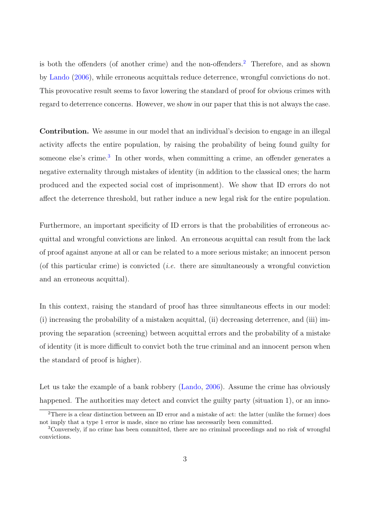is both the offenders (of another crime) and the non-offenders.<sup>2</sup> Therefore, and as shown by Lando (2006), while erroneous acquittals reduce deterrence, wrongful convictions do not. This provocative result seems to favor lowering the standard of proof for obvious crimes with regard to deterrence concerns. However, we show in our paper that this is not always the case.

Contribution. We assume in our model that an individual's decision to engage in an illegal activity affects the entire population, by raising the probability of being found guilty for someone else's crime.<sup>3</sup> In other words, when committing a crime, an offender generates a negative externality through mistakes of identity (in addition to the classical ones; the harm produced and the expected social cost of imprisonment). We show that ID errors do not affect the deterrence threshold, but rather induce a new legal risk for the entire population.

Furthermore, an important specificity of ID errors is that the probabilities of erroneous acquittal and wrongful convictions are linked. An erroneous acquittal can result from the lack of proof against anyone at all or can be related to a more serious mistake; an innocent person (of this particular crime) is convicted (i.e. there are simultaneously a wrongful conviction and an erroneous acquittal).

In this context, raising the standard of proof has three simultaneous effects in our model: (i) increasing the probability of a mistaken acquittal, (ii) decreasing deterrence, and (iii) improving the separation (screening) between acquittal errors and the probability of a mistake of identity (it is more difficult to convict both the true criminal and an innocent person when the standard of proof is higher).

Let us take the example of a bank robbery (Lando, 2006). Assume the crime has obviously happened. The authorities may detect and convict the guilty party (situation 1), or an inno-

<sup>2</sup>There is a clear distinction between an ID error and a mistake of act: the latter (unlike the former) does not imply that a type 1 error is made, since no crime has necessarily been committed.

<sup>3</sup>Conversely, if no crime has been committed, there are no criminal proceedings and no risk of wrongful convictions.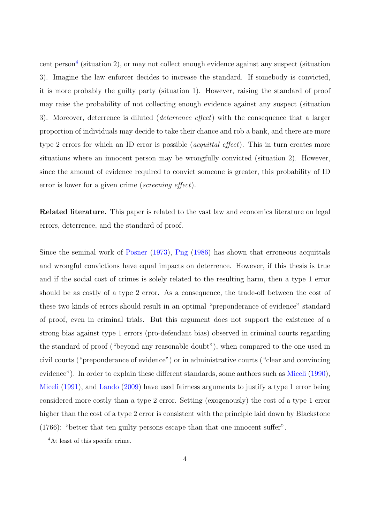cent person<sup>4</sup> (situation 2), or may not collect enough evidence against any suspect (situation 3). Imagine the law enforcer decides to increase the standard. If somebody is convicted, it is more probably the guilty party (situation 1). However, raising the standard of proof may raise the probability of not collecting enough evidence against any suspect (situation 3). Moreover, deterrence is diluted (*deterrence effect*) with the consequence that a larger proportion of individuals may decide to take their chance and rob a bank, and there are more type 2 errors for which an ID error is possible (*acquittal effect*). This in turn creates more situations where an innocent person may be wrongfully convicted (situation 2). However, since the amount of evidence required to convict someone is greater, this probability of ID error is lower for a given crime (screening effect).

Related literature. This paper is related to the vast law and economics literature on legal errors, deterrence, and the standard of proof.

Since the seminal work of Posner (1973), Png (1986) has shown that erroneous acquittals and wrongful convictions have equal impacts on deterrence. However, if this thesis is true and if the social cost of crimes is solely related to the resulting harm, then a type 1 error should be as costly of a type 2 error. As a consequence, the trade-off between the cost of these two kinds of errors should result in an optimal "preponderance of evidence" standard of proof, even in criminal trials. But this argument does not support the existence of a strong bias against type 1 errors (pro-defendant bias) observed in criminal courts regarding the standard of proof ("beyond any reasonable doubt"), when compared to the one used in civil courts ("preponderance of evidence") or in administrative courts ("clear and convincing evidence"). In order to explain these different standards, some authors such as Miceli (1990), Miceli (1991), and Lando (2009) have used fairness arguments to justify a type 1 error being considered more costly than a type 2 error. Setting (exogenously) the cost of a type 1 error higher than the cost of a type 2 error is consistent with the principle laid down by Blackstone  $(1766)$ : "better that ten guilty persons escape than that one innocent suffer".

<sup>4</sup>At least of this specific crime.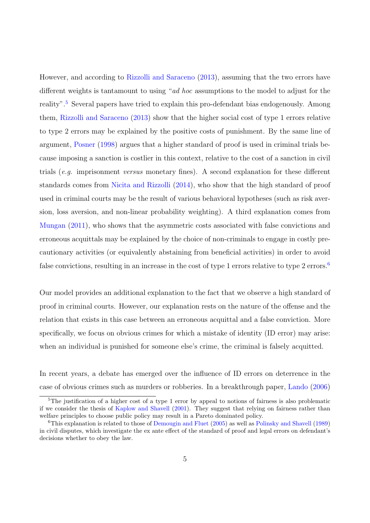However, and according to Rizzolli and Saraceno (2013), assuming that the two errors have different weights is tantamount to using "ad hoc assumptions to the model to adjust for the reality".<sup>5</sup> Several papers have tried to explain this pro-defendant bias endogenously. Among them, Rizzolli and Saraceno (2013) show that the higher social cost of type 1 errors relative to type 2 errors may be explained by the positive costs of punishment. By the same line of argument, Posner (1998) argues that a higher standard of proof is used in criminal trials because imposing a sanction is costlier in this context, relative to the cost of a sanction in civil trials (e.g. imprisonment versus monetary fines). A second explanation for these different standards comes from Nicita and Rizzolli (2014), who show that the high standard of proof used in criminal courts may be the result of various behavioral hypotheses (such as risk aversion, loss aversion, and non-linear probability weighting). A third explanation comes from Mungan (2011), who shows that the asymmetric costs associated with false convictions and erroneous acquittals may be explained by the choice of non-criminals to engage in costly precautionary activities (or equivalently abstaining from beneficial activities) in order to avoid false convictions, resulting in an increase in the cost of type 1 errors relative to type 2 errors.<sup>6</sup>

Our model provides an additional explanation to the fact that we observe a high standard of proof in criminal courts. However, our explanation rests on the nature of the offense and the relation that exists in this case between an erroneous acquittal and a false conviction. More specifically, we focus on obvious crimes for which a mistake of identity (ID error) may arise: when an individual is punished for some one else's crime, the criminal is falsely acquitted.

In recent years, a debate has emerged over the influence of ID errors on deterrence in the case of obvious crimes such as murders or robberies. In a breakthrough paper, Lando (2006)

 $5$ The justification of a higher cost of a type 1 error by appeal to notions of fairness is also problematic if we consider the thesis of Kaplow and Shavell (2001). They suggest that relying on fairness rather than welfare principles to choose public policy may result in a Pareto dominated policy.

 $6$ This explanation is related to those of Demougin and Fluet (2005) as well as Polinsky and Shavell (1989) in civil disputes, which investigate the ex ante effect of the standard of proof and legal errors on defendant's decisions whether to obey the law.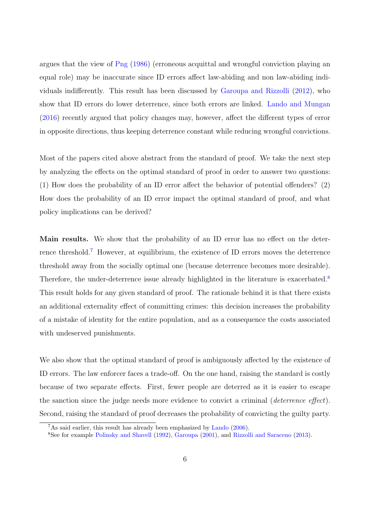argues that the view of Png (1986) (erroneous acquittal and wrongful conviction playing an equal role) may be inaccurate since ID errors affect law-abiding and non law-abiding individuals indifferently. This result has been discussed by Garoupa and Rizzolli  $(2012)$ , who show that ID errors do lower deterrence, since both errors are linked. Lando and Mungan  $(2016)$  recently argued that policy changes may, however, affect the different types of error in opposite directions, thus keeping deterrence constant while reducing wrongful convictions.

Most of the papers cited above abstract from the standard of proof. We take the next step by analyzing the effects on the optimal standard of proof in order to answer two questions: (1) How does the probability of an ID error affect the behavior of potential offenders? (2) How does the probability of an ID error impact the optimal standard of proof, and what policy implications can be derived?

Main results. We show that the probability of an ID error has no effect on the deterrence threshold.<sup>7</sup> However, at equilibrium, the existence of ID errors moves the deterrence threshold away from the socially optimal one (because deterrence becomes more desirable). Therefore, the under-deterrence issue already highlighted in the literature is exacerbated.<sup>8</sup> This result holds for any given standard of proof. The rationale behind it is that there exists an additional externality effect of committing crimes: this decision increases the probability of a mistake of identity for the entire population, and as a consequence the costs associated with undeserved punishments.

We also show that the optimal standard of proof is ambiguously affected by the existence of ID errors. The law enforcer faces a trade-off. On the one hand, raising the standard is costly because of two separate effects. First, fewer people are deterred as it is easier to escape the sanction since the judge needs more evidence to convict a criminal  $(deterrence effect)$ . Second, raising the standard of proof decreases the probability of convicting the guilty party.

<sup>7</sup>As said earlier, this result has already been emphasized by Lando (2006).

<sup>8</sup>See for example Polinsky and Shavell (1992), Garoupa (2001), and Rizzolli and Saraceno (2013).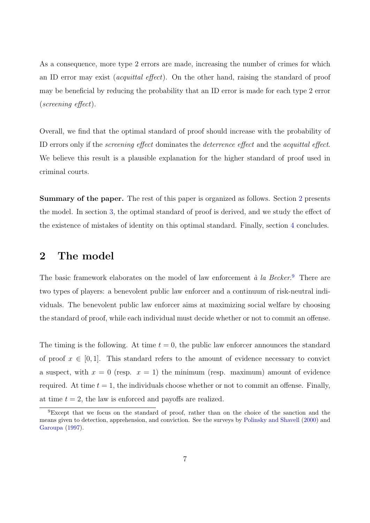As a consequence, more type 2 errors are made, increasing the number of crimes for which an ID error may exist *(acquittal effect)*. On the other hand, raising the standard of proof may be beneficial by reducing the probability that an ID error is made for each type 2 error  $(\text{screening effect}).$ 

Overall, we find that the optimal standard of proof should increase with the probability of ID errors only if the *screening effect* dominates the *deterrence effect* and the *acquittal effect*. We believe this result is a plausible explanation for the higher standard of proof used in criminal courts.

Summary of the paper. The rest of this paper is organized as follows. Section 2 presents the model. In section 3, the optimal standard of proof is derived, and we study the effect of the existence of mistakes of identity on this optimal standard. Finally, section 4 concludes.

## 2 The model

The basic framework elaborates on the model of law enforcement  $\dot{a}$  la Becker.<sup>9</sup> There are two types of players: a benevolent public law enforcer and a continuum of risk-neutral individuals. The benevolent public law enforcer aims at maximizing social welfare by choosing the standard of proof, while each individual must decide whether or not to commit an offense.

The timing is the following. At time  $t = 0$ , the public law enforcer announces the standard of proof  $x \in [0, 1]$ . This standard refers to the amount of evidence necessary to convict a suspect, with  $x = 0$  (resp.  $x = 1$ ) the minimum (resp. maximum) amount of evidence required. At time  $t = 1$ , the individuals choose whether or not to commit an offense. Finally, at time  $t = 2$ , the law is enforced and payoffs are realized.

<sup>9</sup>Except that we focus on the standard of proof, rather than on the choice of the sanction and the means given to detection, apprehension, and conviction. See the surveys by Polinsky and Shavell (2000) and Garoupa (1997).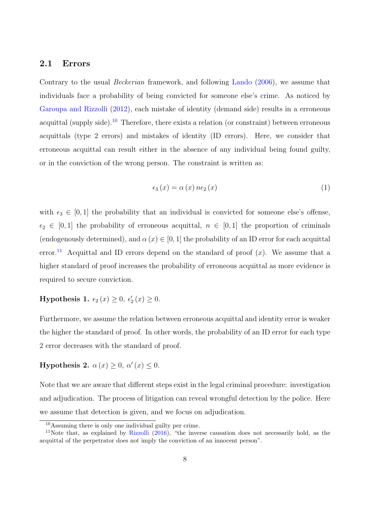#### 2.1 Errors

Contrary to the usual Beckerian framework, and following Lando (2006), we assume that individuals face a probability of being convicted for someone else's crime. As noticed by Garoupa and Rizzolli (2012), each mistake of identity (demand side) results in a erroneous acquittal (supply side).<sup>10</sup> Therefore, there exists a relation (or constraint) between erroneous acquittals (type 2 errors) and mistakes of identity (ID errors). Here, we consider that erroneous acquittal can result either in the absence of any individual being found guilty, or in the conviction of the wrong person. The constraint is written as:

$$
\epsilon_3(x) = \alpha(x) n \epsilon_2(x) \tag{1}
$$

with  $\epsilon_3 \in [0, 1]$  the probability that an individual is convicted for someone else's offense,  $\epsilon_2 \in [0, 1]$  the probability of erroneous acquittal,  $n \in [0, 1]$  the proportion of criminals (endogenously determined), and  $\alpha(x) \in [0, 1]$  the probability of an ID error for each acquittal error.<sup>11</sup> Acquittal and ID errors depend on the standard of proof  $(x)$ . We assume that a higher standard of proof increases the probability of erroneous acquittal as more evidence is required to secure conviction.

**Hypothesis 1.**  $\epsilon_2(x) \geq 0$ ,  $\epsilon'_2(x) \geq 0$ .

Furthermore, we assume the relation between erroneous acquittal and identity error is weaker the higher the standard of proof. In other words, the probability of an ID error for each type 2 error decreases with the standard of proof.

Hypothesis 2.  $\alpha(x) \geq 0$ ,  $\alpha'(x) \leq 0$ .

Note that we are aware that different steps exist in the legal criminal procedure: investigation and adjudication. The process of litigation can reveal wrongful detection by the police. Here we assume that detection is given, and we focus on adjudication.

<sup>10</sup>Assuming there is only one individual guilty per crime.

<sup>11</sup>Note that, as explained by Rizzolli (2016), "the inverse causation does not necessarily hold, as the acquittal of the perpetrator does not imply the conviction of an innocent person".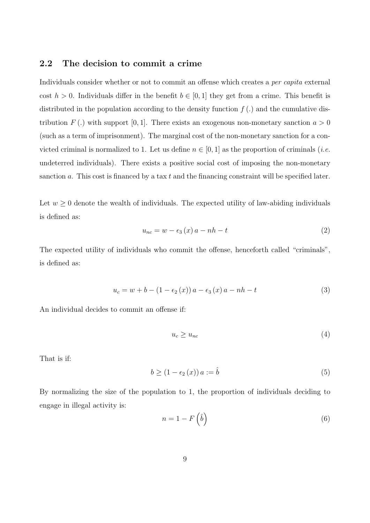### 2.2 The decision to commit a crime

Individuals consider whether or not to commit an offense which creates a *per capita* external cost  $h > 0$ . Individuals differ in the benefit  $b \in [0, 1]$  they get from a crime. This benefit is distributed in the population according to the density function  $f(.)$  and the cumulative distribution  $F(.)$  with support [0, 1]. There exists an exogenous non-monetary sanction  $a > 0$ (such as a term of imprisonment). The marginal cost of the non-monetary sanction for a convicted criminal is normalized to 1. Let us define  $n \in [0, 1]$  as the proportion of criminals (*i.e.* undeterred individuals). There exists a positive social cost of imposing the non-monetary sanction a. This cost is financed by a tax  $t$  and the financing constraint will be specified later.

Let  $w \geq 0$  denote the wealth of individuals. The expected utility of law-abiding individuals is defined as:

$$
u_{nc} = w - \epsilon_3(x) a - nh - t \tag{2}
$$

The expected utility of individuals who commit the offense, henceforth called "criminals", is defined as:

$$
u_c = w + b - (1 - \epsilon_2(x)) a - \epsilon_3(x) a - nh - t \tag{3}
$$

An individual decides to commit an offense if:

$$
u_c \ge u_{nc} \tag{4}
$$

That is if:

$$
b \ge (1 - \epsilon_2(x)) a := \hat{b}
$$
\n<sup>(5)</sup>

By normalizing the size of the population to 1, the proportion of individuals deciding to engage in illegal activity is:

$$
n = 1 - F\left(\hat{b}\right) \tag{6}
$$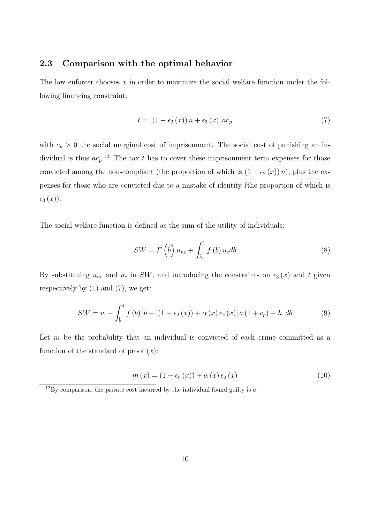## 2.3 Comparison with the optimal behavior

The law enforcer chooses  $x$  in order to maximize the social welfare function under the following financing constraint:

$$
t = \left[ \left( 1 - \epsilon_2 \left( x \right) \right) n + \epsilon_3 \left( x \right) \right] a c_p \tag{7}
$$

with  $c_p > 0$  the social marginal cost of imprisonment. The social cost of punishing an individual is thus  $ac_p$ <sup>12</sup>. The tax t has to cover these imprisonment term expenses for those convicted among the non-compliant (the proportion of which is  $(1 - \epsilon_2(x)) n$ ), plus the expenses for those who are convicted due to a mistake of identity (the proportion of which is  $\epsilon_3(x)$ ).

The social welfare function is defined as the sum of the utility of individuals:

$$
SW = F\left(\hat{b}\right)u_{nc} + \int_{\hat{b}}^{1} f\left(b\right)u_{c}db
$$
\n
$$
\tag{8}
$$

By substituting  $u_{nc}$  and  $u_c$  in SW, and introducing the constraints on  $\epsilon_3(x)$  and t given respectively by  $(1)$  and  $(7)$ , we get:

$$
SW = w + \int_{\hat{b}}^{1} f(b) \left[ b - \left[ (1 - \epsilon_2(x)) + \alpha(x) \epsilon_2(x) \right] a (1 + c_p) - h \right] db \tag{9}
$$

Let  $m$  be the probability that an individual is convicted of each crime committed as a function of the standard of proof  $(x)$ :

$$
m(x) = (1 - \epsilon_2(x)) + \alpha(x) \epsilon_2(x)
$$
 (10)

 $12$ By comparison, the private cost incurred by the individual found guilty is a.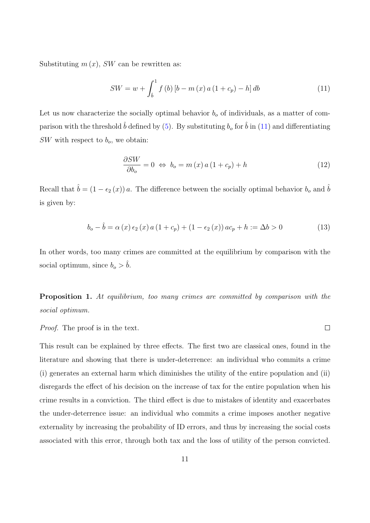Substituting  $m(x)$ , SW can be rewritten as:

$$
SW = w + \int_{\hat{b}}^{1} f(b) \left[ b - m(x) a (1 + c_p) - h \right] db \tag{11}
$$

Let us now characterize the socially optimal behavior  $b<sub>o</sub>$  of individuals, as a matter of comparison with the threshold  $\hat{b}$  defined by (5). By substituting  $b_o$  for  $\hat{b}$  in (11) and differentiating  $SW$  with respect to  $b<sub>o</sub>$ , we obtain:

$$
\frac{\partial SW}{\partial b_o} = 0 \Leftrightarrow b_o = m(x) a (1 + c_p) + h \tag{12}
$$

Recall that  $\hat{b} = (1 - \epsilon_2(x)) a$ . The difference between the socially optimal behavior  $b_o$  and  $\hat{b}$ is given by:

$$
b_o - \hat{b} = \alpha(x) \epsilon_2(x) a (1 + c_p) + (1 - \epsilon_2(x)) a c_p + h := \Delta b > 0
$$
 (13)

In other words, too many crimes are committed at the equilibrium by comparison with the social optimum, since  $b<sub>o</sub> > \hat{b}$ .

Proposition 1. At equilibrium, too many crimes are committed by comparison with the social optimum.

Proof. The proof is in the text.

This result can be explained by three effects. The first two are classical ones, found in the literature and showing that there is under-deterrence: an individual who commits a crime (i) generates an external harm which diminishes the utility of the entire population and (ii) disregards the effect of his decision on the increase of tax for the entire population when his crime results in a conviction. The third effect is due to mistakes of identity and exacerbates the under-deterrence issue: an individual who commits a crime imposes another negative externality by increasing the probability of ID errors, and thus by increasing the social costs associated with this error, through both tax and the loss of utility of the person convicted.

 $\Box$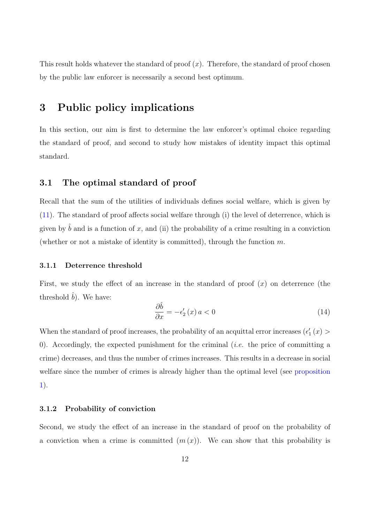This result holds whatever the standard of proof  $(x)$ . Therefore, the standard of proof chosen by the public law enforcer is necessarily a second best optimum.

# 3 Public policy implications

In this section, our aim is first to determine the law enforcer's optimal choice regarding the standard of proof, and second to study how mistakes of identity impact this optimal standard.

## 3.1 The optimal standard of proof

Recall that the sum of the utilities of individuals defines social welfare, which is given by  $(11)$ . The standard of proof affects social welfare through  $(i)$  the level of deterrence, which is given by  $\hat{b}$  and is a function of x, and (ii) the probability of a crime resulting in a conviction (whether or not a mistake of identity is committed), through the function  $m$ .

#### 3.1.1 Deterrence threshold

First, we study the effect of an increase in the standard of proof  $(x)$  on deterrence (the threshold  $\hat{b}$ ). We have:

$$
\frac{\partial \hat{b}}{\partial x} = -\epsilon_2'(x) a < 0 \tag{14}
$$

When the standard of proof increases, the probability of an acquittal error increases  $(\epsilon_1'(x)$ 0). Accordingly, the expected punishment for the criminal (*i.e.* the price of committing a crime) decreases, and thus the number of crimes increases. This results in a decrease in social welfare since the number of crimes is already higher than the optimal level (see proposition 1).

#### 3.1.2 Probability of conviction

Second, we study the effect of an increase in the standard of proof on the probability of a conviction when a crime is committed  $(m(x))$ . We can show that this probability is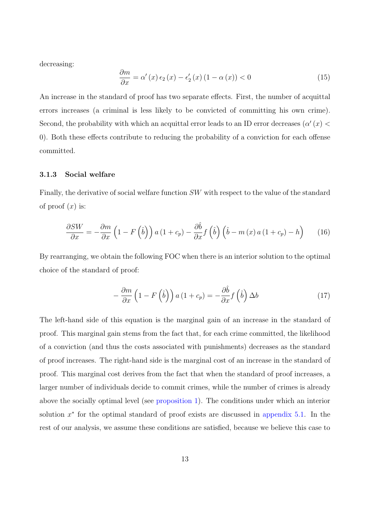decreasing:

$$
\frac{\partial m}{\partial x} = \alpha'(x) \epsilon_2(x) - \epsilon'_2(x) (1 - \alpha(x)) < 0 \tag{15}
$$

An increase in the standard of proof has two separate effects. First, the number of acquittal errors increases (a criminal is less likely to be convicted of committing his own crime). Second, the probability with which an acquittal error leads to an ID error decreases ( $\alpha'(x)$ ) 0). Both these effects contribute to reducing the probability of a conviction for each offense committed.

#### 3.1.3 Social welfare

Finally, the derivative of social welfare function SW with respect to the value of the standard of proof  $(x)$  is:

$$
\frac{\partial SW}{\partial x} = -\frac{\partial m}{\partial x} \left( 1 - F\left(\hat{b}\right) \right) a \left( 1 + c_p \right) - \frac{\partial \hat{b}}{\partial x} f\left(\hat{b}\right) \left( \hat{b} - m\left(x\right) a \left( 1 + c_p \right) - h \right) \tag{16}
$$

By rearranging, we obtain the following FOC when there is an interior solution to the optimal choice of the standard of proof:

$$
-\frac{\partial m}{\partial x}\left(1 - F\left(\hat{b}\right)\right)a\left(1 + c_p\right) = -\frac{\partial \hat{b}}{\partial x}f\left(\hat{b}\right)\Delta b\tag{17}
$$

The left-hand side of this equation is the marginal gain of an increase in the standard of proof. This marginal gain stems from the fact that, for each crime committed, the likelihood of a conviction (and thus the costs associated with punishments) decreases as the standard of proof increases. The right-hand side is the marginal cost of an increase in the standard of proof. This marginal cost derives from the fact that when the standard of proof increases, a larger number of individuals decide to commit crimes, while the number of crimes is already above the socially optimal level (see proposition 1). The conditions under which an interior solution  $x^*$  for the optimal standard of proof exists are discussed in appendix 5.1. In the rest of our analysis, we assume these conditions are satisfied, because we believe this case to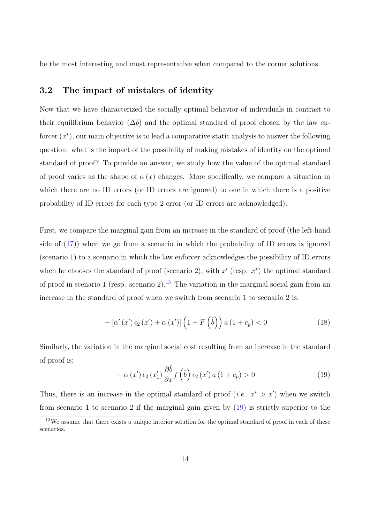be the most interesting and most representative when compared to the corner solutions.

## 3.2 The impact of mistakes of identity

Now that we have characterized the socially optimal behavior of individuals in contrast to their equilibrium behavior  $(\Delta b)$  and the optimal standard of proof chosen by the law enforcer  $(x^*)$ , our main objective is to lead a comparative static analysis to answer the following question: what is the impact of the possibility of making mistakes of identity on the optimal standard of proof? To provide an answer, we study how the value of the optimal standard of proof varies as the shape of  $\alpha(x)$  changes. More specifically, we compare a situation in which there are no ID errors (or ID errors are ignored) to one in which there is a positive probability of ID errors for each type 2 error (or ID errors are acknowledged).

First, we compare the marginal gain from an increase in the standard of proof (the left-hand side of  $(17)$ ) when we go from a scenario in which the probability of ID errors is ignored (scenario 1) to a scenario in which the law enforcer acknowledges the possibility of ID errors when he chooses the standard of proof (scenario 2), with  $x'$  (resp.  $x^*$ ) the optimal standard of proof in scenario 1 (resp. scenario 2).<sup>13</sup> The variation in the marginal social gain from an increase in the standard of proof when we switch from scenario 1 to scenario 2 is:

$$
-\left[\alpha'(x')\,\epsilon_2\left(x'\right)+\alpha\left(x'\right)\right]\left(1-F\left(\hat{b}\right)\right)a\left(1+c_p\right)<0\tag{18}
$$

Similarly, the variation in the marginal social cost resulting from an increase in the standard of proof is:

$$
-\alpha(x')\epsilon_2(x'_1)\frac{\partial\hat{b}}{\partial x}f(\hat{b})\epsilon_2(x')a(1+c_p) > 0
$$
\n(19)

Thus, there is an increase in the optimal standard of proof (*i.e.*  $x^* > x'$ ) when we switch from scenario 1 to scenario 2 if the marginal gain given by (19) is strictly superior to the

<sup>&</sup>lt;sup>13</sup>We assume that there exists a unique interior solution for the optimal standard of proof in each of these scenarios.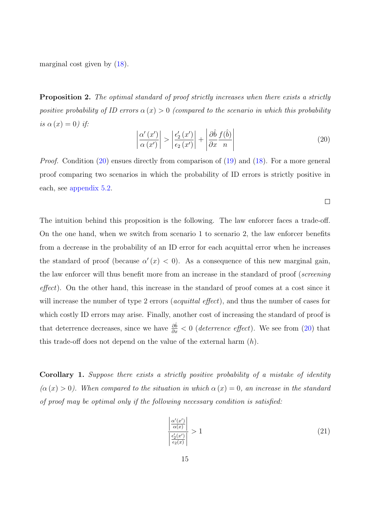marginal cost given by (18).

**Proposition 2.** The optimal standard of proof strictly increases when there exists a strictly positive probability of ID errors  $\alpha(x) > 0$  (compared to the scenario in which this probability is  $\alpha(x)=0$ ) if:

$$
\left| \frac{\alpha'(x')}{\alpha(x')} \right| > \left| \frac{\epsilon_2'(x')}{\epsilon_2(x')} \right| + \left| \frac{\partial \hat{b}}{\partial x} \frac{f(\hat{b})}{n} \right| \tag{20}
$$

 $\Box$ 

Proof. Condition (20) ensues directly from comparison of (19) and (18). For a more general proof comparing two scenarios in which the probability of ID errors is strictly positive in each, see appendix 5.2.

The intuition behind this proposition is the following. The law enforcer faces a trade-off. On the one hand, when we switch from scenario 1 to scenario 2, the law enforcer benefits from a decrease in the probability of an ID error for each acquittal error when he increases the standard of proof (because  $\alpha'(x) < 0$ ). As a consequence of this new marginal gain, the law enforcer will thus benefit more from an increase in the standard of proof (screening  $effect$ ). On the other hand, this increase in the standard of proof comes at a cost since it will increase the number of type 2 errors (*acquittal effect*), and thus the number of cases for which costly ID errors may arise. Finally, another cost of increasing the standard of proof is that deterrence decreases, since we have  $\frac{\partial \hat{b}}{\partial x} < 0$  (*deterrence effect*). We see from (20) that this trade-off does not depend on the value of the external harm  $(h)$ .

Corollary 1. Suppose there exists a strictly positive probability of a mistake of identity  $(\alpha(x) > 0)$ . When compared to the situation in which  $\alpha(x) = 0$ , an increase in the standard of proof may be optimal only if the following necessary condition is satisfied:

$$
\left| \frac{\frac{\alpha'(x')}{\alpha(x)}}{\frac{\epsilon_2'(x')}{\epsilon_2(x)}} \right| > 1 \tag{21}
$$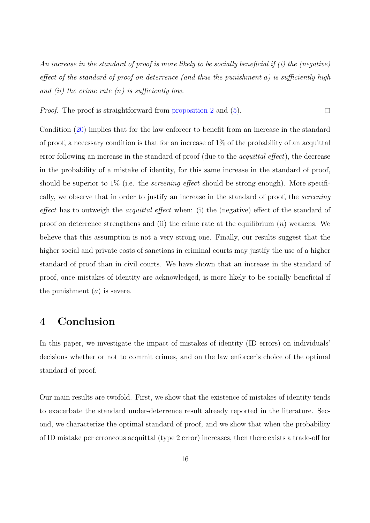An increase in the standard of proof is more likely to be socially beneficial if  $(i)$  the (negative) effect of the standard of proof on deterrence (and thus the punishment a) is sufficiently high and (ii) the crime rate  $(n)$  is sufficiently low.

*Proof.* The proof is straightforward from proposition 2 and  $(5)$ .  $\Box$ 

Condition (20) implies that for the law enforcer to benefit from an increase in the standard of proof, a necessary condition is that for an increase of 1% of the probability of an acquittal error following an increase in the standard of proof (due to the *acquittal effect*), the decrease in the probability of a mistake of identity, for this same increase in the standard of proof, should be superior to  $1\%$  (i.e. the *screening effect* should be strong enough). More specifically, we observe that in order to justify an increase in the standard of proof, the screening effect has to outweigh the *acquittal effect* when: (i) the (negative) effect of the standard of proof on deterrence strengthens and (ii) the crime rate at the equilibrium  $(n)$  weakens. We believe that this assumption is not a very strong one. Finally, our results suggest that the higher social and private costs of sanctions in criminal courts may justify the use of a higher standard of proof than in civil courts. We have shown that an increase in the standard of proof, once mistakes of identity are acknowledged, is more likely to be socially beneficial if the punishment  $(a)$  is severe.

## 4 Conclusion

In this paper, we investigate the impact of mistakes of identity (ID errors) on individuals' decisions whether or not to commit crimes, and on the law enforcer's choice of the optimal standard of proof.

Our main results are twofold. First, we show that the existence of mistakes of identity tends to exacerbate the standard under-deterrence result already reported in the literature. Second, we characterize the optimal standard of proof, and we show that when the probability of ID mistake per erroneous acquittal (type 2 error) increases, then there exists a trade-off for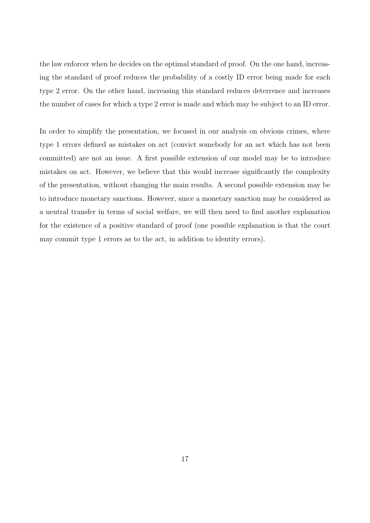the law enforcer when he decides on the optimal standard of proof. On the one hand, increasing the standard of proof reduces the probability of a costly ID error being made for each type 2 error. On the other hand, increasing this standard reduces deterrence and increases the number of cases for which a type 2 error is made and which may be subject to an ID error.

In order to simplify the presentation, we focused in our analysis on obvious crimes, where type 1 errors defined as mistakes on act (convict somebody for an act which has not been committed) are not an issue. A first possible extension of our model may be to introduce mistakes on act. However, we believe that this would increase significantly the complexity of the presentation, without changing the main results. A second possible extension may be to introduce monetary sanctions. However, since a monetary sanction may be considered as a neutral transfer in terms of social welfare, we will then need to find another explanation for the existence of a positive standard of proof (one possible explanation is that the court may commit type 1 errors as to the act, in addition to identity errors).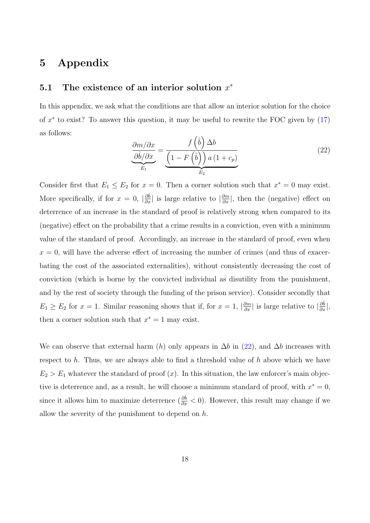# 5 Appendix

## 5.1 The existence of an interior solution  $x^*$

In this appendix, we ask what the conditions are that allow an interior solution for the choice of  $x^*$  to exist? To answer this question, it may be useful to rewrite the FOC given by  $(17)$ as follows:

$$
\frac{\partial m/\partial x}{\partial \hat{b}/\partial x} = \frac{f(\hat{b}) \Delta b}{\left(1 - F(\hat{b})\right) a \left(1 + c_p\right)}
$$
\n
$$
E_1 \tag{22}
$$

Consider first that  $E_1 \le E_2$  for  $x = 0$ . Then a corner solution such that  $x^* = 0$  may exist. More specifically, if for  $x = 0$ ,  $|\frac{\partial \hat{b}}{\partial x}|$  is large relative to  $|\frac{\partial m}{\partial x}|$ , then the (negative) effect on deterrence of an increase in the standard of proof is relatively strong when compared to its (negative) effect on the probability that a crime results in a conviction, even with a minimum value of the standard of proof. Accordingly, an increase in the standard of proof, even when  $x = 0$ , will have the adverse effect of increasing the number of crimes (and thus of exacerbating the cost of the associated externalities), without consistently decreasing the cost of conviction (which is borne by the convicted individual as disutility from the punishment, and by the rest of society through the funding of the prison service). Consider secondly that  $E_1 \ge E_2$  for  $x = 1$ . Similar reasoning shows that if, for  $x = 1$ ,  $\left|\frac{\partial m}{\partial x}\right|$  is large relative to  $\left|\frac{\partial \hat{b}}{\partial x}\right|$ , then a corner solution such that  $x^* = 1$  may exist.

We can observe that external harm (h) only appears in  $\Delta b$  in (22), and  $\Delta b$  increases with respect to  $h$ . Thus, we are always able to find a threshold value of  $h$  above which we have  $E_2 > E_1$  whatever the standard of proof  $(x)$ . In this situation, the law enforcer's main objective is deterrence and, as a result, he will choose a minimum standard of proof, with  $x^* = 0$ , since it allows him to maximize deterrence  $(\frac{\partial \hat{b}}{\partial x} < 0)$ . However, this result may change if we allow the severity of the punishment to depend on  $h$ .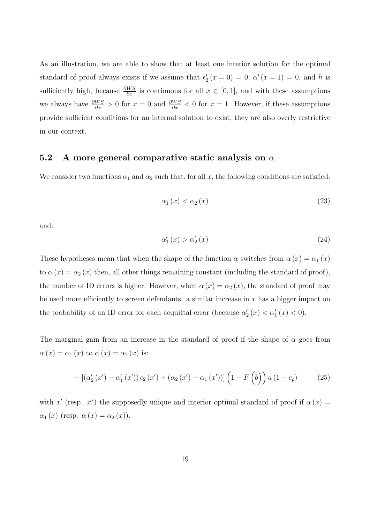As an illustration, we are able to show that at least one interior solution for the optimal standard of proof always exists if we assume that  $\epsilon'_2(x=0) = 0$ ,  $\alpha'(x=1) = 0$ , and h is sufficiently high, because  $\frac{\partial WS}{\partial x}$  is continuous for all  $x \in [0, 1]$ , and with these assumptions we always have  $\frac{\partial WS}{\partial x} > 0$  for  $x = 0$  and  $\frac{\partial WS}{\partial x} < 0$  for  $x = 1$ . However, if these assumptions provide sufficient conditions for an internal solution to exist, they are also overly restrictive in our context.

## 5.2 A more general comparative static analysis on  $\alpha$

We consider two functions  $\alpha_1$  and  $\alpha_2$  such that, for all x, the following conditions are satisfied:

$$
\alpha_1(x) < \alpha_2(x) \tag{23}
$$

and:

$$
\alpha_1'(x) > \alpha_2'(x) \tag{24}
$$

These hypotheses mean that when the shape of the function  $\alpha$  switches from  $\alpha(x) = \alpha_1(x)$ to  $\alpha(x) = \alpha_2(x)$  then, all other things remaining constant (including the standard of proof), the number of ID errors is higher. However, when  $\alpha(x) = \alpha_2(x)$ , the standard of proof may be used more efficiently to screen defendants: a similar increase in  $x$  has a bigger impact on the probability of an ID error for each acquittal error (because  $\alpha'_2(x) < \alpha'_1(x) < 0$ ).

The marginal gain from an increase in the standard of proof if the shape of  $\alpha$  goes from  $\alpha(x) = \alpha_1(x)$  to  $\alpha(x) = \alpha_2(x)$  is:

$$
- \left[ \left( \alpha_2'(x') - \alpha_1'(x') \right) \epsilon_2(x') + \left( \alpha_2(x') - \alpha_1(x') \right) \right] \left( 1 - F\left(\hat{b}\right) \right) a \left( 1 + c_p \right) \tag{25}
$$

with x' (resp. x<sup>\*</sup>) the supposedly unique and interior optimal standard of proof if  $\alpha(x) =$  $\alpha_1(x)$  (resp.  $\alpha(x) = \alpha_2(x)$ ).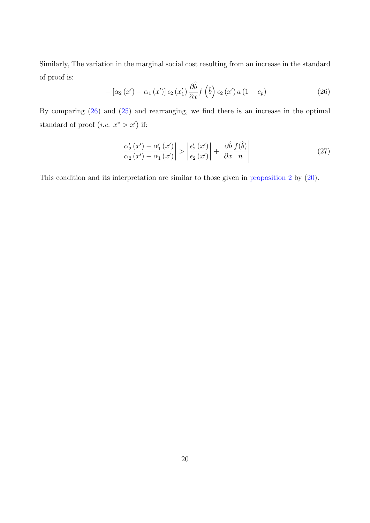Similarly, The variation in the marginal social cost resulting from an increase in the standard of proof is:

$$
-\left[\alpha_2\left(x'\right)-\alpha_1\left(x'\right)\right]\epsilon_2\left(x'_1\right)\frac{\partial\hat{b}}{\partial x}f\left(\hat{b}\right)\epsilon_2\left(x'\right)a\left(1+c_p\right) \tag{26}
$$

By comparing (26) and (25) and rearranging, we find there is an increase in the optimal standard of proof (*i.e.*  $x^* > x'$ ) if:

$$
\left| \frac{\alpha_2'(x') - \alpha_1'(x')}{\alpha_2(x') - \alpha_1(x')} \right| > \left| \frac{\epsilon_2'(x')}{\epsilon_2(x')} \right| + \left| \frac{\partial \hat{b}}{\partial x} \frac{f(\hat{b})}{n} \right| \tag{27}
$$

This condition and its interpretation are similar to those given in proposition 2 by (20).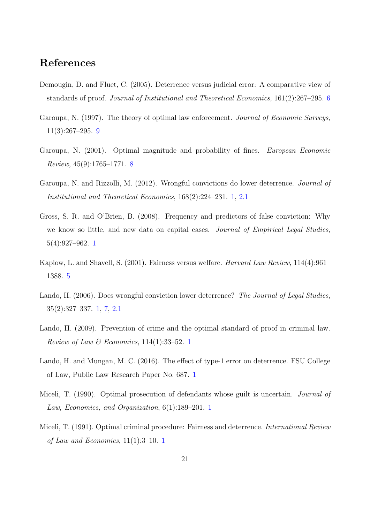# References

- Demougin, D. and Fluet, C. (2005). Deterrence versus judicial error: A comparative view of standards of proof. Journal of Institutional and Theoretical Economics, 161(2):267–295. 6
- Garoupa, N. (1997). The theory of optimal law enforcement. *Journal of Economic Surveys*, 11(3):267–295. 9
- Garoupa, N. (2001). Optimal magnitude and probability of fines. European Economic Review, 45(9):1765–1771. 8
- Garoupa, N. and Rizzolli, M. (2012). Wrongful convictions do lower deterrence. Journal of Institutional and Theoretical Economics, 168(2):224–231. 1, 2.1
- Gross, S. R. and O'Brien, B. (2008). Frequency and predictors of false conviction: Why we know so little, and new data on capital cases. Journal of Empirical Legal Studies, 5(4):927–962. 1
- Kaplow, L. and Shavell, S. (2001). Fairness versus welfare. Harvard Law Review, 114(4):961– 1388. 5
- Lando, H. (2006). Does wrongful conviction lower deterrence? The Journal of Legal Studies, 35(2):327–337. 1, 7, 2.1
- Lando, H. (2009). Prevention of crime and the optimal standard of proof in criminal law. Review of Law & Economics,  $114(1):33-52.$  1
- Lando, H. and Mungan, M. C.  $(2016)$ . The effect of type-1 error on deterrence. FSU College of Law, Public Law Research Paper No. 687. 1
- Miceli, T. (1990). Optimal prosecution of defendants whose guilt is uncertain. *Journal of* Law, Economics, and Organization, 6(1):189–201. 1
- Miceli, T. (1991). Optimal criminal procedure: Fairness and deterrence. *International Review* of Law and Economics, 11(1):3–10. 1